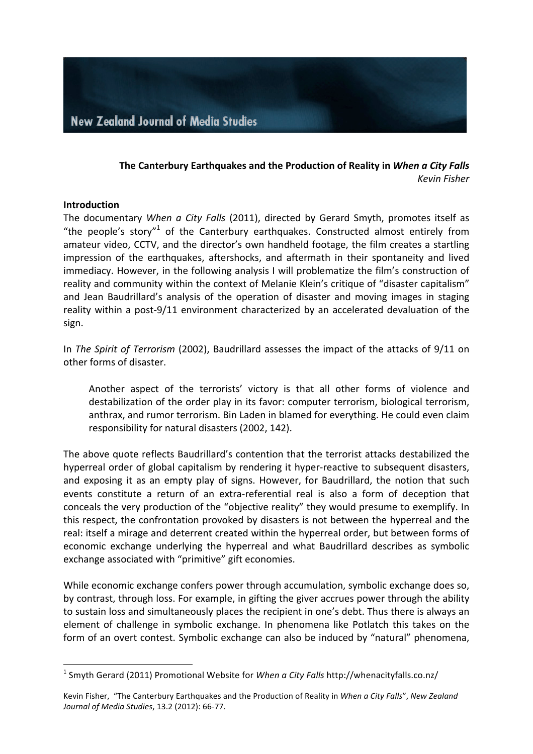

### **The Canterbury Earthquakes and the Production of Reality in** *When a City Falls Kevin Fisher*

#### **Introduction**

 $\overline{a}$ 

The documentary *When a City Falls* (2011), directed by Gerard Smyth, promotes itself as "the people's story"<sup>1</sup> of the Canterbury earthquakes. Constructed almost entirely from amateur video, CCTV, and the director's own handheld footage, the film creates a startling impression of the earthquakes, aftershocks, and aftermath in their spontaneity and lived immediacy. However, in the following analysis I will problematize the film's construction of reality and community within the context of Melanie Klein's critique of "disaster capitalism" and Jean Baudrillard's analysis of the operation of disaster and moving images in staging reality within a post-9/11 environment characterized by an accelerated devaluation of the sign. 

In *The Spirit of Terrorism* (2002), Baudrillard assesses the impact of the attacks of 9/11 on other forms of disaster.

Another aspect of the terrorists' victory is that all other forms of violence and destabilization of the order play in its favor: computer terrorism, biological terrorism, anthrax, and rumor terrorism. Bin Laden in blamed for everything. He could even claim responsibility for natural disasters (2002, 142).

The above quote reflects Baudrillard's contention that the terrorist attacks destabilized the hyperreal order of global capitalism by rendering it hyper-reactive to subsequent disasters, and exposing it as an empty play of signs. However, for Baudrillard, the notion that such events constitute a return of an extra-referential real is also a form of deception that conceals the very production of the "objective reality" they would presume to exemplify. In this respect, the confrontation provoked by disasters is not between the hyperreal and the real: itself a mirage and deterrent created within the hyperreal order, but between forms of economic exchange underlying the hyperreal and what Baudrillard describes as symbolic exchange associated with "primitive" gift economies.

While economic exchange confers power through accumulation, symbolic exchange does so, by contrast, through loss. For example, in gifting the giver accrues power through the ability to sustain loss and simultaneously places the recipient in one's debt. Thus there is always an element of challenge in symbolic exchange. In phenomena like Potlatch this takes on the form of an overt contest. Symbolic exchange can also be induced by "natural" phenomena,

<sup>&</sup>lt;sup>1</sup> Smyth Gerard (2011) Promotional Website for When a City Falls http://whenacityfalls.co.nz/

Kevin Fisher, "The Canterbury Earthquakes and the Production of Reality in When a City Falls", New Zealand *Journal of Media Studies*, 13.2 (2012): 66-77.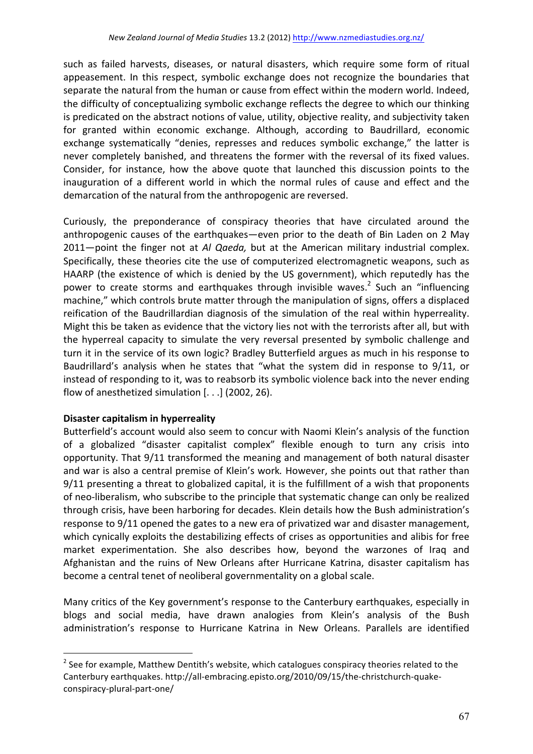such as failed harvests, diseases, or natural disasters, which require some form of ritual appeasement. In this respect, symbolic exchange does not recognize the boundaries that separate the natural from the human or cause from effect within the modern world. Indeed, the difficulty of conceptualizing symbolic exchange reflects the degree to which our thinking is predicated on the abstract notions of value, utility, objective reality, and subjectivity taken for granted within economic exchange. Although, according to Baudrillard, economic exchange systematically "denies, represses and reduces symbolic exchange," the latter is never completely banished, and threatens the former with the reversal of its fixed values. Consider, for instance, how the above quote that launched this discussion points to the inauguration of a different world in which the normal rules of cause and effect and the demarcation of the natural from the anthropogenic are reversed.

Curiously, the preponderance of conspiracy theories that have circulated around the anthropogenic causes of the earthquakes—even prior to the death of Bin Laden on 2 May 2011—point the finger not at *Al Qaeda*, but at the American military industrial complex. Specifically, these theories cite the use of computerized electromagnetic weapons, such as HAARP (the existence of which is denied by the US government), which reputedly has the power to create storms and earthquakes through invisible waves.<sup>2</sup> Such an "influencing machine," which controls brute matter through the manipulation of signs, offers a displaced reification of the Baudrillardian diagnosis of the simulation of the real within hyperreality. Might this be taken as evidence that the victory lies not with the terrorists after all, but with the hyperreal capacity to simulate the very reversal presented by symbolic challenge and turn it in the service of its own logic? Bradley Butterfield argues as much in his response to Baudrillard's analysis when he states that "what the system did in response to 9/11, or instead of responding to it, was to reabsorb its symbolic violence back into the never ending flow of anesthetized simulation  $[...]$  (2002, 26).

# **Disaster capitalism in hyperreality**

 $\overline{a}$ 

Butterfield's account would also seem to concur with Naomi Klein's analysis of the function of a globalized "disaster capitalist complex" flexible enough to turn any crisis into opportunity. That  $9/11$  transformed the meaning and management of both natural disaster and war is also a central premise of Klein's work. However, she points out that rather than 9/11 presenting a threat to globalized capital, it is the fulfillment of a wish that proponents of neo-liberalism, who subscribe to the principle that systematic change can only be realized through crisis, have been harboring for decades. Klein details how the Bush administration's response to 9/11 opened the gates to a new era of privatized war and disaster management, which cynically exploits the destabilizing effects of crises as opportunities and alibis for free market experimentation. She also describes how, beyond the warzones of Iraq and Afghanistan and the ruins of New Orleans after Hurricane Katrina, disaster capitalism has become a central tenet of neoliberal governmentality on a global scale.

Many critics of the Key government's response to the Canterbury earthquakes, especially in blogs and social media, have drawn analogies from Klein's analysis of the Bush administration's response to Hurricane Katrina in New Orleans. Parallels are identified

 $2$  See for example, Matthew Dentith's website, which catalogues conspiracy theories related to the Canterbury earthquakes. http://all-embracing.episto.org/2010/09/15/the-christchurch-quakeconspiracy-plural-part-one/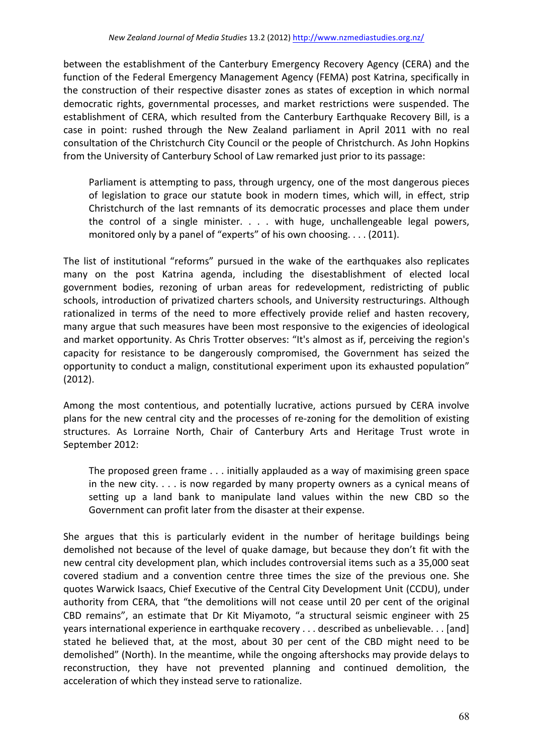between the establishment of the Canterbury Emergency Recovery Agency (CERA) and the function of the Federal Emergency Management Agency (FEMA) post Katrina, specifically in the construction of their respective disaster zones as states of exception in which normal democratic rights, governmental processes, and market restrictions were suspended. The establishment of CERA, which resulted from the Canterbury Earthquake Recovery Bill, is a case in point: rushed through the New Zealand parliament in April 2011 with no real consultation of the Christchurch City Council or the people of Christchurch. As John Hopkins from the University of Canterbury School of Law remarked just prior to its passage:

Parliament is attempting to pass, through urgency, one of the most dangerous pieces of legislation to grace our statute book in modern times, which will, in effect, strip Christchurch of the last remnants of its democratic processes and place them under the control of a single minister.  $\ldots$  with huge, unchallengeable legal powers, monitored only by a panel of "experts" of his own choosing.  $\dots$  (2011).

The list of institutional "reforms" pursued in the wake of the earthquakes also replicates many on the post Katrina agenda, including the disestablishment of elected local government bodies, rezoning of urban areas for redevelopment, redistricting of public schools, introduction of privatized charters schools, and University restructurings. Although rationalized in terms of the need to more effectively provide relief and hasten recovery, many argue that such measures have been most responsive to the exigencies of ideological and market opportunity. As Chris Trotter observes: "It's almost as if, perceiving the region's capacity for resistance to be dangerously compromised, the Government has seized the opportunity to conduct a malign, constitutional experiment upon its exhausted population" (2012).

Among the most contentious, and potentially lucrative, actions pursued by CERA involve plans for the new central city and the processes of re-zoning for the demolition of existing structures. As Lorraine North, Chair of Canterbury Arts and Heritage Trust wrote in September 2012:

The proposed green frame  $\dots$  initially applauded as a way of maximising green space in the new city.  $\dots$  is now regarded by many property owners as a cynical means of setting up a land bank to manipulate land values within the new CBD so the Government can profit later from the disaster at their expense.

She argues that this is particularly evident in the number of heritage buildings being demolished not because of the level of quake damage, but because they don't fit with the new central city development plan, which includes controversial items such as a 35,000 seat covered stadium and a convention centre three times the size of the previous one. She quotes Warwick Isaacs, Chief Executive of the Central City Development Unit (CCDU), under authority from CERA, that "the demolitions will not cease until 20 per cent of the original CBD remains", an estimate that Dr Kit Miyamoto, "a structural seismic engineer with 25 years international experience in earthquake recovery . . . described as unbelievable. . . [and] stated he believed that, at the most, about 30 per cent of the CBD might need to be demolished" (North). In the meantime, while the ongoing aftershocks may provide delays to reconstruction, they have not prevented planning and continued demolition, the acceleration of which they instead serve to rationalize.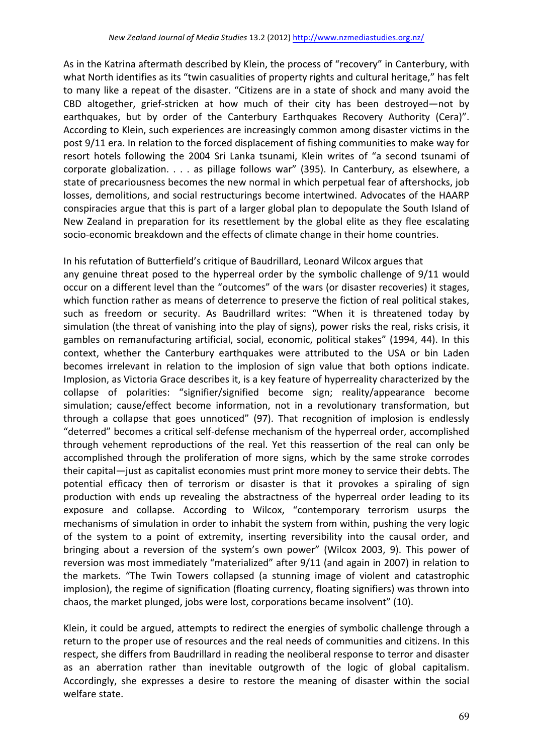As in the Katrina aftermath described by Klein, the process of "recovery" in Canterbury, with what North identifies as its "twin casualities of property rights and cultural heritage," has felt to many like a repeat of the disaster. "Citizens are in a state of shock and many avoid the CBD altogether, grief-stricken at how much of their city has been destroyed—not by earthquakes, but by order of the Canterbury Earthquakes Recovery Authority (Cera)". According to Klein, such experiences are increasingly common among disaster victims in the post 9/11 era. In relation to the forced displacement of fishing communities to make way for resort hotels following the 2004 Sri Lanka tsunami, Klein writes of "a second tsunami of corporate globalization. . . . as pillage follows war" (395). In Canterbury, as elsewhere, a state of precariousness becomes the new normal in which perpetual fear of aftershocks, job losses, demolitions, and social restructurings become intertwined. Advocates of the HAARP conspiracies argue that this is part of a larger global plan to depopulate the South Island of New Zealand in preparation for its resettlement by the global elite as they flee escalating socio-economic breakdown and the effects of climate change in their home countries.

In his refutation of Butterfield's critique of Baudrillard, Leonard Wilcox argues that

any genuine threat posed to the hyperreal order by the symbolic challenge of 9/11 would occur on a different level than the "outcomes" of the wars (or disaster recoveries) it stages, which function rather as means of deterrence to preserve the fiction of real political stakes, such as freedom or security. As Baudrillard writes: "When it is threatened today by simulation (the threat of vanishing into the play of signs), power risks the real, risks crisis, it gambles on remanufacturing artificial, social, economic, political stakes" (1994, 44). In this context, whether the Canterbury earthquakes were attributed to the USA or bin Laden becomes irrelevant in relation to the implosion of sign value that both options indicate. Implosion, as Victoria Grace describes it, is a key feature of hyperreality characterized by the collapse of polarities: "signifier/signified become sign; reality/appearance become simulation; cause/effect become information, not in a revolutionary transformation, but through a collapse that goes unnoticed" (97). That recognition of implosion is endlessly "deterred" becomes a critical self-defense mechanism of the hyperreal order, accomplished through vehement reproductions of the real. Yet this reassertion of the real can only be accomplished through the proliferation of more signs, which by the same stroke corrodes their capital—just as capitalist economies must print more money to service their debts. The potential efficacy then of terrorism or disaster is that it provokes a spiraling of sign production with ends up revealing the abstractness of the hyperreal order leading to its exposure and collapse. According to Wilcox, "contemporary terrorism usurps the mechanisms of simulation in order to inhabit the system from within, pushing the very logic of the system to a point of extremity, inserting reversibility into the causal order, and bringing about a reversion of the system's own power" (Wilcox 2003, 9). This power of reversion was most immediately "materialized" after 9/11 (and again in 2007) in relation to the markets. "The Twin Towers collapsed (a stunning image of violent and catastrophic implosion), the regime of signification (floating currency, floating signifiers) was thrown into chaos, the market plunged, jobs were lost, corporations became insolvent" (10).

Klein, it could be argued, attempts to redirect the energies of symbolic challenge through a return to the proper use of resources and the real needs of communities and citizens. In this respect, she differs from Baudrillard in reading the neoliberal response to terror and disaster as an aberration rather than inevitable outgrowth of the logic of global capitalism. Accordingly, she expresses a desire to restore the meaning of disaster within the social welfare state.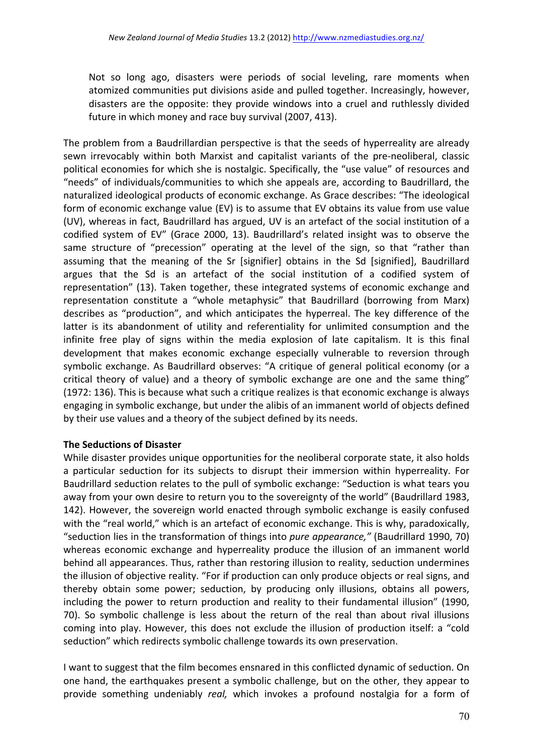Not so long ago, disasters were periods of social leveling, rare moments when atomized communities put divisions aside and pulled together. Increasingly, however, disasters are the opposite: they provide windows into a cruel and ruthlessly divided future in which money and race buy survival (2007, 413).

The problem from a Baudrillardian perspective is that the seeds of hyperreality are already sewn irrevocably within both Marxist and capitalist variants of the pre-neoliberal, classic political economies for which she is nostalgic. Specifically, the "use value" of resources and "needs" of individuals/communities to which she appeals are, according to Baudrillard, the naturalized ideological products of economic exchange. As Grace describes: "The ideological form of economic exchange value  $(EV)$  is to assume that EV obtains its value from use value (UV), whereas in fact, Baudrillard has argued, UV is an artefact of the social institution of a codified system of EV" (Grace 2000, 13). Baudrillard's related insight was to observe the same structure of "precession" operating at the level of the sign, so that "rather than assuming that the meaning of the Sr [signifier] obtains in the Sd [signified], Baudrillard argues that the Sd is an artefact of the social institution of a codified system of representation" (13). Taken together, these integrated systems of economic exchange and representation constitute a "whole metaphysic" that Baudrillard (borrowing from Marx) describes as "production", and which anticipates the hyperreal. The key difference of the latter is its abandonment of utility and referentiality for unlimited consumption and the infinite free play of signs within the media explosion of late capitalism. It is this final development that makes economic exchange especially vulnerable to reversion through symbolic exchange. As Baudrillard observes: "A critique of general political economy (or a critical theory of value) and a theory of symbolic exchange are one and the same thing" (1972: 136). This is because what such a critique realizes is that economic exchange is always engaging in symbolic exchange, but under the alibis of an immanent world of objects defined by their use values and a theory of the subject defined by its needs.

# **The Seductions of Disaster**

While disaster provides unique opportunities for the neoliberal corporate state, it also holds a particular seduction for its subjects to disrupt their immersion within hyperreality. For Baudrillard seduction relates to the pull of symbolic exchange: "Seduction is what tears you away from your own desire to return you to the sovereignty of the world" (Baudrillard 1983, 142). However, the sovereign world enacted through symbolic exchange is easily confused with the "real world," which is an artefact of economic exchange. This is why, paradoxically, "seduction lies in the transformation of things into *pure appearance*," (Baudrillard 1990, 70) whereas economic exchange and hyperreality produce the illusion of an immanent world behind all appearances. Thus, rather than restoring illusion to reality, seduction undermines the illusion of objective reality. "For if production can only produce objects or real signs, and thereby obtain some power; seduction, by producing only illusions, obtains all powers, including the power to return production and reality to their fundamental illusion" (1990, 70). So symbolic challenge is less about the return of the real than about rival illusions coming into play. However, this does not exclude the illusion of production itself: a "cold seduction" which redirects symbolic challenge towards its own preservation.

I want to suggest that the film becomes ensnared in this conflicted dynamic of seduction. On one hand, the earthquakes present a symbolic challenge, but on the other, they appear to provide something undeniably *real*, which invokes a profound nostalgia for a form of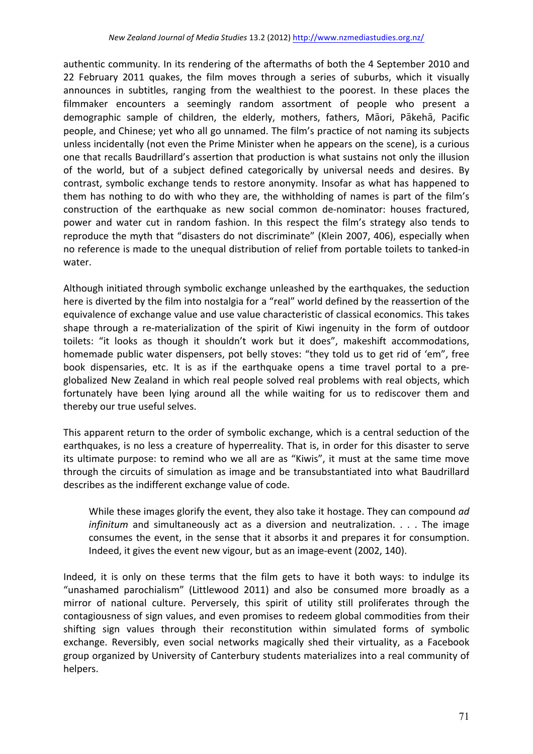authentic community. In its rendering of the aftermaths of both the 4 September 2010 and 22 February 2011 quakes, the film moves through a series of suburbs, which it visually announces in subtitles, ranging from the wealthiest to the poorest. In these places the filmmaker encounters a seemingly random assortment of people who present a demographic sample of children, the elderly, mothers, fathers, Māori, Pākehā, Pacific people, and Chinese; yet who all go unnamed. The film's practice of not naming its subjects unless incidentally (not even the Prime Minister when he appears on the scene), is a curious one that recalls Baudrillard's assertion that production is what sustains not only the illusion of the world, but of a subject defined categorically by universal needs and desires. By contrast, symbolic exchange tends to restore anonymity. Insofar as what has happened to them has nothing to do with who they are, the withholding of names is part of the film's construction of the earthquake as new social common de-nominator: houses fractured, power and water cut in random fashion. In this respect the film's strategy also tends to reproduce the myth that "disasters do not discriminate" (Klein 2007, 406), especially when no reference is made to the unequal distribution of relief from portable toilets to tanked-in water. 

Although initiated through symbolic exchange unleashed by the earthquakes, the seduction here is diverted by the film into nostalgia for a "real" world defined by the reassertion of the equivalence of exchange value and use value characteristic of classical economics. This takes shape through a re-materialization of the spirit of Kiwi ingenuity in the form of outdoor toilets: "it looks as though it shouldn't work but it does", makeshift accommodations, homemade public water dispensers, pot belly stoves: "they told us to get rid of 'em", free book dispensaries, etc. It is as if the earthquake opens a time travel portal to a preglobalized New Zealand in which real people solved real problems with real objects, which fortunately have been lying around all the while waiting for us to rediscover them and thereby our true useful selves.

This apparent return to the order of symbolic exchange, which is a central seduction of the earthquakes, is no less a creature of hyperreality. That is, in order for this disaster to serve its ultimate purpose: to remind who we all are as "Kiwis", it must at the same time move through the circuits of simulation as image and be transubstantiated into what Baudrillard describes as the indifferent exchange value of code.

While these images glorify the event, they also take it hostage. They can compound ad *infinitum* and simultaneously act as a diversion and neutralization. . . . The image consumes the event, in the sense that it absorbs it and prepares it for consumption. Indeed, it gives the event new vigour, but as an image-event (2002, 140).

Indeed, it is only on these terms that the film gets to have it both ways: to indulge its "unashamed parochialism" (Littlewood 2011) and also be consumed more broadly as a mirror of national culture. Perversely, this spirit of utility still proliferates through the contagiousness of sign values, and even promises to redeem global commodities from their shifting sign values through their reconstitution within simulated forms of symbolic exchange. Reversibly, even social networks magically shed their virtuality, as a Facebook group organized by University of Canterbury students materializes into a real community of helpers.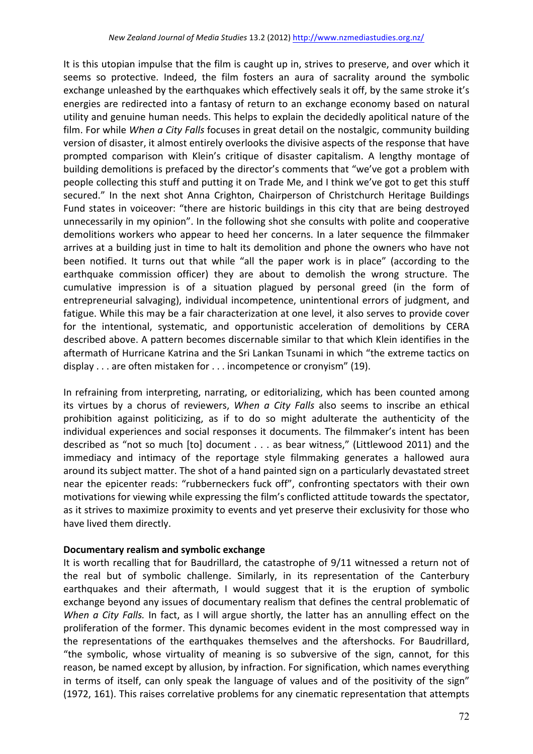It is this utopian impulse that the film is caught up in, strives to preserve, and over which it seems so protective. Indeed, the film fosters an aura of sacrality around the symbolic exchange unleashed by the earthquakes which effectively seals it off, by the same stroke it's energies are redirected into a fantasy of return to an exchange economy based on natural utility and genuine human needs. This helps to explain the decidedly apolitical nature of the film. For while *When a City Falls* focuses in great detail on the nostalgic, community building version of disaster, it almost entirely overlooks the divisive aspects of the response that have prompted comparison with Klein's critique of disaster capitalism. A lengthy montage of building demolitions is prefaced by the director's comments that "we've got a problem with people collecting this stuff and putting it on Trade Me, and I think we've got to get this stuff secured." In the next shot Anna Crighton, Chairperson of Christchurch Heritage Buildings Fund states in voiceover: "there are historic buildings in this city that are being destroyed unnecessarily in my opinion". In the following shot she consults with polite and cooperative demolitions workers who appear to heed her concerns. In a later sequence the filmmaker arrives at a building just in time to halt its demolition and phone the owners who have not been notified. It turns out that while "all the paper work is in place" (according to the earthquake commission officer) they are about to demolish the wrong structure. The cumulative impression is of a situation plagued by personal greed (in the form of entrepreneurial salvaging), individual incompetence, unintentional errors of judgment, and fatigue. While this may be a fair characterization at one level, it also serves to provide cover for the intentional, systematic, and opportunistic acceleration of demolitions by CERA described above. A pattern becomes discernable similar to that which Klein identifies in the aftermath of Hurricane Katrina and the Sri Lankan Tsunami in which "the extreme tactics on display  $\dots$  are often mistaken for  $\dots$  incompetence or cronyism" (19).

In refraining from interpreting, narrating, or editorializing, which has been counted among its virtues by a chorus of reviewers, *When a City Falls* also seems to inscribe an ethical prohibition against politicizing, as if to do so might adulterate the authenticity of the individual experiences and social responses it documents. The filmmaker's intent has been described as "not so much [to] document . . . as bear witness," (Littlewood 2011) and the immediacy and intimacy of the reportage style filmmaking generates a hallowed aura around its subject matter. The shot of a hand painted sign on a particularly devastated street near the epicenter reads: "rubberneckers fuck off", confronting spectators with their own motivations for viewing while expressing the film's conflicted attitude towards the spectator, as it strives to maximize proximity to events and yet preserve their exclusivity for those who have lived them directly.

#### **Documentary realism and symbolic exchange**

It is worth recalling that for Baudrillard, the catastrophe of 9/11 witnessed a return not of the real but of symbolic challenge. Similarly, in its representation of the Canterbury earthquakes and their aftermath, I would suggest that it is the eruption of symbolic exchange beyond any issues of documentary realism that defines the central problematic of *When* a City Falls. In fact, as I will argue shortly, the latter has an annulling effect on the proliferation of the former. This dynamic becomes evident in the most compressed way in the representations of the earthquakes themselves and the aftershocks. For Baudrillard, "the symbolic, whose virtuality of meaning is so subversive of the sign, cannot, for this reason, be named except by allusion, by infraction. For signification, which names everything in terms of itself, can only speak the language of values and of the positivity of the sign" (1972, 161). This raises correlative problems for any cinematic representation that attempts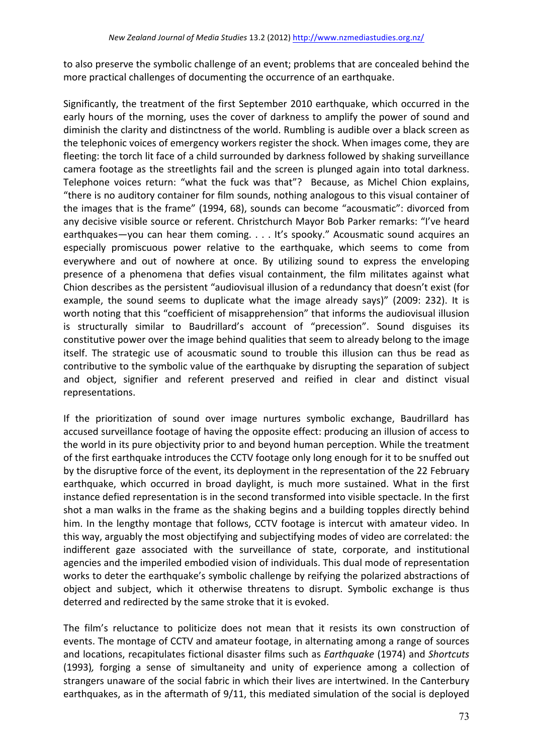to also preserve the symbolic challenge of an event; problems that are concealed behind the more practical challenges of documenting the occurrence of an earthquake.

Significantly, the treatment of the first September 2010 earthquake, which occurred in the early hours of the morning, uses the cover of darkness to amplify the power of sound and diminish the clarity and distinctness of the world. Rumbling is audible over a black screen as the telephonic voices of emergency workers register the shock. When images come, they are fleeting: the torch lit face of a child surrounded by darkness followed by shaking surveillance camera footage as the streetlights fail and the screen is plunged again into total darkness. Telephone voices return: "what the fuck was that"? Because, as Michel Chion explains, "there is no auditory container for film sounds, nothing analogous to this visual container of the images that is the frame" (1994, 68), sounds can become "acousmatic": divorced from any decisive visible source or referent. Christchurch Mayor Bob Parker remarks: "I've heard earthquakes—you can hear them coming. . . . It's spooky." Acousmatic sound acquires an especially promiscuous power relative to the earthquake, which seems to come from everywhere and out of nowhere at once. By utilizing sound to express the enveloping presence of a phenomena that defies visual containment, the film militates against what Chion describes as the persistent "audiovisual illusion of a redundancy that doesn't exist (for example, the sound seems to duplicate what the image already says)" (2009: 232). It is worth noting that this "coefficient of misapprehension" that informs the audiovisual illusion is structurally similar to Baudrillard's account of "precession". Sound disguises its constitutive power over the image behind qualities that seem to already belong to the image itself. The strategic use of acousmatic sound to trouble this illusion can thus be read as contributive to the symbolic value of the earthquake by disrupting the separation of subject and object, signifier and referent preserved and reified in clear and distinct visual representations. 

If the prioritization of sound over image nurtures symbolic exchange, Baudrillard has accused surveillance footage of having the opposite effect: producing an illusion of access to the world in its pure objectivity prior to and beyond human perception. While the treatment of the first earthquake introduces the CCTV footage only long enough for it to be snuffed out by the disruptive force of the event, its deployment in the representation of the 22 February earthquake, which occurred in broad daylight, is much more sustained. What in the first instance defied representation is in the second transformed into visible spectacle. In the first shot a man walks in the frame as the shaking begins and a building topples directly behind him. In the lengthy montage that follows, CCTV footage is intercut with amateur video. In this way, arguably the most objectifying and subjectifying modes of video are correlated: the indifferent gaze associated with the surveillance of state, corporate, and institutional agencies and the imperiled embodied vision of individuals. This dual mode of representation works to deter the earthquake's symbolic challenge by reifying the polarized abstractions of object and subject, which it otherwise threatens to disrupt. Symbolic exchange is thus deterred and redirected by the same stroke that it is evoked.

The film's reluctance to politicize does not mean that it resists its own construction of events. The montage of CCTV and amateur footage, in alternating among a range of sources and locations, recapitulates fictional disaster films such as *Earthquake* (1974) and *Shortcuts* (1993), forging a sense of simultaneity and unity of experience among a collection of strangers unaware of the social fabric in which their lives are intertwined. In the Canterbury earthquakes, as in the aftermath of 9/11, this mediated simulation of the social is deployed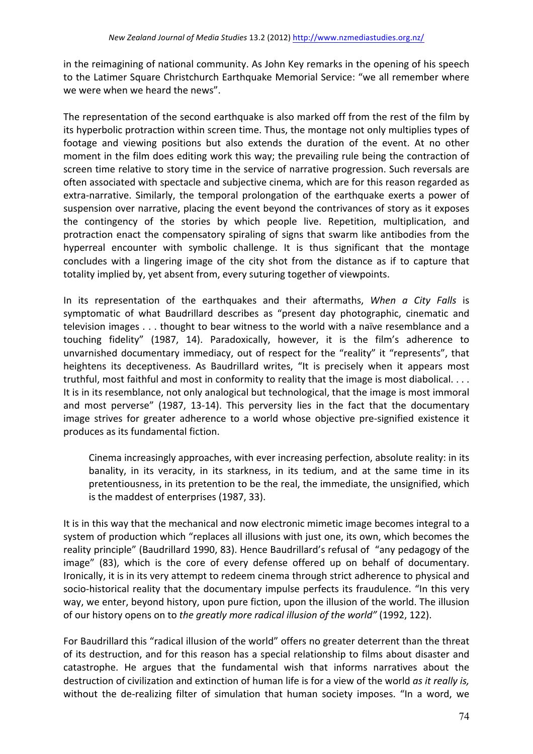in the reimagining of national community. As John Key remarks in the opening of his speech to the Latimer Square Christchurch Earthquake Memorial Service: "we all remember where we were when we heard the news".

The representation of the second earthquake is also marked off from the rest of the film by its hyperbolic protraction within screen time. Thus, the montage not only multiplies types of footage and viewing positions but also extends the duration of the event. At no other moment in the film does editing work this way; the prevailing rule being the contraction of screen time relative to story time in the service of narrative progression. Such reversals are often associated with spectacle and subjective cinema, which are for this reason regarded as extra-narrative. Similarly, the temporal prolongation of the earthquake exerts a power of suspension over narrative, placing the event beyond the contrivances of story as it exposes the contingency of the stories by which people live. Repetition, multiplication, and protraction enact the compensatory spiraling of signs that swarm like antibodies from the hyperreal encounter with symbolic challenge. It is thus significant that the montage concludes with a lingering image of the city shot from the distance as if to capture that totality implied by, yet absent from, every suturing together of viewpoints.

In its representation of the earthquakes and their aftermaths, *When a City Falls* is symptomatic of what Baudrillard describes as "present day photographic, cinematic and television images . . . thought to bear witness to the world with a naïve resemblance and a touching fidelity" (1987, 14). Paradoxically, however, it is the film's adherence to unvarnished documentary immediacy, out of respect for the "reality" it "represents", that heightens its deceptiveness. As Baudrillard writes, "It is precisely when it appears most truthful, most faithful and most in conformity to reality that the image is most diabolical.  $\dots$ It is in its resemblance, not only analogical but technological, that the image is most immoral and most perverse" (1987, 13-14). This perversity lies in the fact that the documentary image strives for greater adherence to a world whose objective pre-signified existence it produces as its fundamental fiction.

Cinema increasingly approaches, with ever increasing perfection, absolute reality: in its banality, in its veracity, in its starkness, in its tedium, and at the same time in its pretentiousness, in its pretention to be the real, the immediate, the unsignified, which is the maddest of enterprises (1987, 33).

It is in this way that the mechanical and now electronic mimetic image becomes integral to a system of production which "replaces all illusions with just one, its own, which becomes the reality principle" (Baudrillard 1990, 83). Hence Baudrillard's refusal of "any pedagogy of the image" (83), which is the core of every defense offered up on behalf of documentary. Ironically, it is in its very attempt to redeem cinema through strict adherence to physical and socio-historical reality that the documentary impulse perfects its fraudulence. "In this very way, we enter, beyond history, upon pure fiction, upon the illusion of the world. The illusion of our history opens on to the greatly more radical illusion of the world" (1992, 122).

For Baudrillard this "radical illusion of the world" offers no greater deterrent than the threat of its destruction, and for this reason has a special relationship to films about disaster and catastrophe. He argues that the fundamental wish that informs narratives about the destruction of civilization and extinction of human life is for a view of the world *as it really is,* without the de-realizing filter of simulation that human society imposes. "In a word, we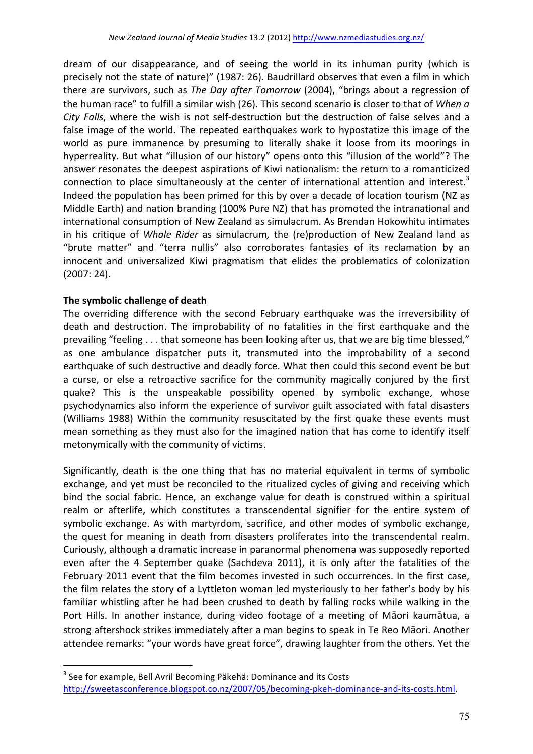dream of our disappearance, and of seeing the world in its inhuman purity (which is precisely not the state of nature)" (1987: 26). Baudrillard observes that even a film in which there are survivors, such as The Day after Tomorrow (2004), "brings about a regression of the human race" to fulfill a similar wish (26). This second scenario is closer to that of When a *City Falls*, where the wish is not self-destruction but the destruction of false selves and a false image of the world. The repeated earthquakes work to hypostatize this image of the world as pure immanence by presuming to literally shake it loose from its moorings in hyperreality. But what "illusion of our history" opens onto this "illusion of the world"? The answer resonates the deepest aspirations of Kiwi nationalism: the return to a romanticized connection to place simultaneously at the center of international attention and interest.<sup>3</sup> Indeed the population has been primed for this by over a decade of location tourism (NZ as Middle Earth) and nation branding (100% Pure NZ) that has promoted the intranational and international consumption of New Zealand as simulacrum. As Brendan Hokowhitu intimates in his critique of *Whale Rider* as simulacrum, the (re)production of New Zealand land as "brute matter" and "terra nullis" also corroborates fantasies of its reclamation by an innocent and universalized Kiwi pragmatism that elides the problematics of colonization  $(2007:24).$ 

#### The symbolic challenge of death

 $\overline{a}$ 

The overriding difference with the second February earthquake was the irreversibility of death and destruction. The improbability of no fatalities in the first earthquake and the prevailing "feeling . . . that someone has been looking after us, that we are big time blessed," as one ambulance dispatcher puts it, transmuted into the improbability of a second earthquake of such destructive and deadly force. What then could this second event be but a curse, or else a retroactive sacrifice for the community magically conjured by the first quake? This is the unspeakable possibility opened by symbolic exchange, whose psychodynamics also inform the experience of survivor guilt associated with fatal disasters (Williams 1988) Within the community resuscitated by the first quake these events must mean something as they must also for the imagined nation that has come to identify itself metonymically with the community of victims.

Significantly, death is the one thing that has no material equivalent in terms of symbolic exchange, and yet must be reconciled to the ritualized cycles of giving and receiving which bind the social fabric. Hence, an exchange value for death is construed within a spiritual realm or afterlife, which constitutes a transcendental signifier for the entire system of symbolic exchange. As with martyrdom, sacrifice, and other modes of symbolic exchange, the quest for meaning in death from disasters proliferates into the transcendental realm. Curiously, although a dramatic increase in paranormal phenomena was supposedly reported even after the 4 September quake (Sachdeva 2011), it is only after the fatalities of the February 2011 event that the film becomes invested in such occurrences. In the first case, the film relates the story of a Lyttleton woman led mysteriously to her father's body by his familiar whistling after he had been crushed to death by falling rocks while walking in the Port Hills. In another instance, during video footage of a meeting of Māori kaumātua, a strong aftershock strikes immediately after a man begins to speak in Te Reo Māori. Another attendee remarks: "your words have great force", drawing laughter from the others. Yet the

 $3$  See for example, Bell Avril Becoming Päkehä: Dominance and its Costs http://sweetasconference.blogspot.co.nz/2007/05/becoming-pkeh-dominance-and-its-costs.html.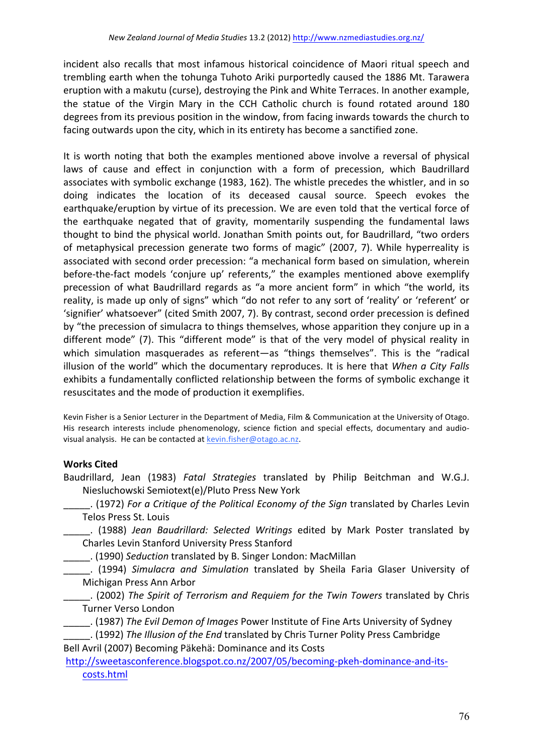incident also recalls that most infamous historical coincidence of Maori ritual speech and trembling earth when the tohunga Tuhoto Ariki purportedly caused the 1886 Mt. Tarawera eruption with a makutu (curse), destroying the Pink and White Terraces. In another example, the statue of the Virgin Mary in the CCH Catholic church is found rotated around 180 degrees from its previous position in the window, from facing inwards towards the church to facing outwards upon the city, which in its entirety has become a sanctified zone.

It is worth noting that both the examples mentioned above involve a reversal of physical laws of cause and effect in conjunction with a form of precession, which Baudrillard associates with symbolic exchange (1983, 162). The whistle precedes the whistler, and in so doing indicates the location of its deceased causal source. Speech evokes the earthquake/eruption by virtue of its precession. We are even told that the vertical force of the earthquake negated that of gravity, momentarily suspending the fundamental laws thought to bind the physical world. Jonathan Smith points out, for Baudrillard, "two orders of metaphysical precession generate two forms of magic" (2007, 7). While hyperreality is associated with second order precession: "a mechanical form based on simulation, wherein before-the-fact models 'conjure up' referents," the examples mentioned above exemplify precession of what Baudrillard regards as "a more ancient form" in which "the world, its reality, is made up only of signs" which "do not refer to any sort of 'reality' or 'referent' or 'signifier' whatsoever" (cited Smith 2007, 7). By contrast, second order precession is defined by "the precession of simulacra to things themselves, whose apparition they conjure up in a different mode" (7). This "different mode" is that of the very model of physical reality in which simulation masquerades as referent—as "things themselves". This is the "radical illusion of the world" which the documentary reproduces. It is here that *When a City Falls* exhibits a fundamentally conflicted relationship between the forms of symbolic exchange it resuscitates and the mode of production it exemplifies.

Kevin Fisher is a Senior Lecturer in the Department of Media, Film & Communication at the University of Otago. His research interests include phenomenology, science fiction and special effects, documentary and audiovisual analysis. He can be contacted at kevin.fisher@otago.ac.nz.

# **Works Cited**

Baudrillard, Jean (1983) Fatal Strategies translated by Philip Beitchman and W.G.J. Niesluchowski Semiotext(e)/Pluto Press New York

\_\_\_\_\_. (1972) *For a Critique of the Political Economy of the Sign* translated by Charles Levin Telos Press St. Louis

\_\_\_\_\_. (1988) *Jean Baudrillard: Selected Writings*  edited by Mark Poster translated by Charles Levin Stanford University Press Stanford

\_\_\_\_\_. (1990) *Seduction* translated by B. Singer London: MacMillan 

\_\_\_\_\_. (1994) *Simulacra and Simulation*  translated by Sheila Faria Glaser University of Michigan Press Ann Arbor

**\_\_\_\_\_\_.** (2002) The Spirit of Terrorism and Requiem for the Twin Towers translated by Chris Turner Verso London

\_\_\_\_\_. (1987) *The Evil Demon of Images* Power Institute of Fine Arts University of Sydney

\_\_\_\_\_. (1992) *The Illusion of the End* translated by Chris Turner Polity Press Cambridge Bell Avril (2007) Becoming Päkehä: Dominance and its Costs

http://sweetasconference.blogspot.co.nz/2007/05/becoming-pkeh-dominance-and-itscosts.html